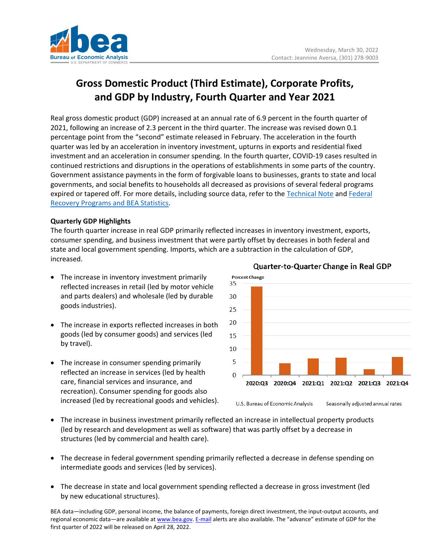

# **Gross Domestic Product (Third Estimate), Corporate Profits, and GDP by Industry, Fourth Quarter and Year 2021**

Real gross domestic product (GDP) increased at an annual rate of 6.9 percent in the fourth quarter of 2021, following an increase of 2.3 percent in the third quarter. The increase was revised down 0.1 percentage point from the "second" estimate released in February. The acceleration in the fourth quarter was led by an acceleration in inventory investment, upturns in exports and residential fixed investment and an acceleration in consumer spending. In the fourth quarter, COVID-19 cases resulted in continued restrictions and disruptions in the operations of establishments in some parts of the country. Government assistance payments in the form of forgivable loans to businesses, grants to state and local governments, and social benefits to households all decreased as provisions of several federal programs expired or tapered off. For more details, including source data, refer to the [Technical Note](https://www.bea.gov/sites/default/files/2022-03/tech4q21_3rd.pdf) and [Federal](http://www.bea.gov/recovery)  [Recovery Programs and BEA Statistics.](http://www.bea.gov/recovery)

# **Quarterly GDP Highlights**

The fourth quarter increase in real GDP primarily reflected increases in inventory investment, exports, consumer spending, and business investment that were partly offset by decreases in both federal and state and local government spending. Imports, which are a subtraction in the calculation of GDP, increased.

- The increase in inventory investment primarily reflected increases in retail (led by motor vehicle and parts dealers) and wholesale (led by durable goods industries).
- The increase in exports reflected increases in both goods (led by consumer goods) and services (led by travel).
- The increase in consumer spending primarily reflected an increase in services (led by health care, financial services and insurance, and recreation). Consumer spending for goods also increased (led by recreational goods and vehicles).



# Quarter-to-Quarter Change in Real GDP

- The increase in business investment primarily reflected an increase in intellectual property products (led by research and development as well as software) that was partly offset by a decrease in structures (led by commercial and health care).
- The decrease in federal government spending primarily reflected a decrease in defense spending on intermediate goods and services (led by services).
- The decrease in state and local government spending reflected a decrease in gross investment (led by new educational structures).

BEA data—including GDP, personal income, the balance of payments, foreign direct investment, the input-output accounts, and regional economic data—are available a[t www.bea.gov.](http://www.bea.gov/) [E-mail](https://www.bea.gov/_subscribe/) alerts are also available. The "advance" estimate of GDP for the first quarter of 2022 will be released on April 28, 2022.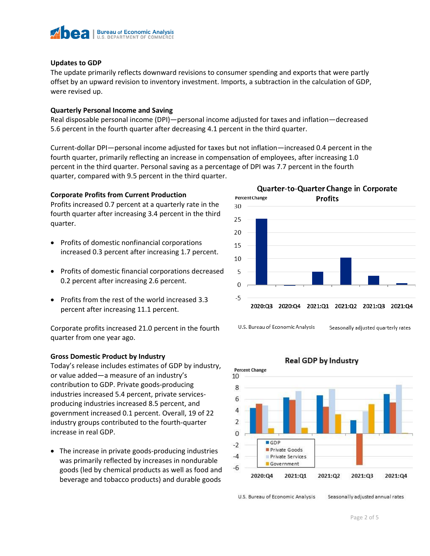

## **Updates to GDP**

The update primarily reflects downward revisions to consumer spending and exports that were partly offset by an upward revision to inventory investment. Imports, a subtraction in the calculation of GDP, were revised up.

## **Quarterly Personal Income and Saving**

Real disposable personal income (DPI)—personal income adjusted for taxes and inflation—decreased 5.6 percent in the fourth quarter after decreasing 4.1 percent in the third quarter.

Current-dollar DPI—personal income adjusted for taxes but not inflation—increased 0.4 percent in the fourth quarter, primarily reflecting an increase in compensation of employees, after increasing 1.0 percent in the third quarter. Personal saving as a percentage of DPI was 7.7 percent in the fourth quarter, compared with 9.5 percent in the third quarter.

## **Corporate Profits from Current Production**

Profits increased 0.7 percent at a quarterly rate in the fourth quarter after increasing 3.4 percent in the third quarter.

- Profits of domestic nonfinancial corporations increased 0.3 percent after increasing 1.7 percent.
- Profits of domestic financial corporations decreased 0.2 percent after increasing 2.6 percent.
- Profits from the rest of the world increased 3.3 percent after increasing 11.1 percent.

Corporate profits increased 21.0 percent in the fourth quarter from one year ago.

## **Gross Domestic Product by Industry**

Today's release includes estimates of GDP by industry, or value added—a measure of an industry's contribution to GDP. Private goods-producing industries increased 5.4 percent, private servicesproducing industries increased 8.5 percent, and government increased 0.1 percent. Overall, 19 of 22 industry groups contributed to the fourth-quarter increase in real GDP.

• The increase in private goods-producing industries was primarily reflected by increases in nondurable goods (led by chemical products as well as food and beverage and tobacco products) and durable goods



**Percent Change** 10 8 6  $\overline{4}$  $\overline{2}$  $\mathbf 0$ **BGDP**  $-2$ Private Goods  $-4$ Private Services **Government**  $-6$ 2020:Q4 2021:Q1 2021:Q2 2021:Q3 2021:Q4

**Real GDP by Industry** 

U.S. Bureau of Economic Analysis

Seasonally adjusted annual rates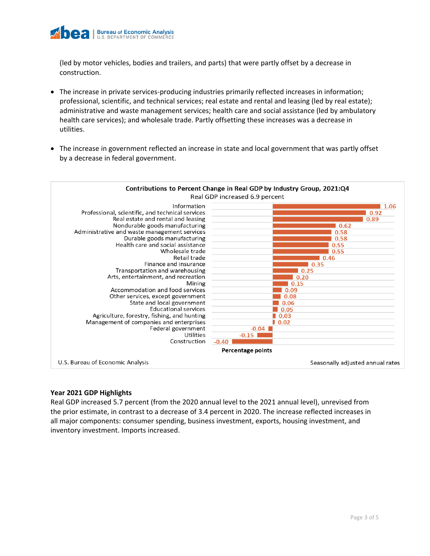

(led by motor vehicles, bodies and trailers, and parts) that were partly offset by a decrease in construction.

- The increase in private services-producing industries primarily reflected increases in information; professional, scientific, and technical services; real estate and rental and leasing (led by real estate); administrative and waste management services; health care and social assistance (led by ambulatory health care services); and wholesale trade. Partly offsetting these increases was a decrease in utilities.
- The increase in government reflected an increase in state and local government that was partly offset by a decrease in federal government.



## **Year 2021 GDP Highlights**

Real GDP increased 5.7 percent (from the 2020 annual level to the 2021 annual level), unrevised from the prior estimate, in contrast to a decrease of 3.4 percent in 2020. The increase reflected increases in all major components: consumer spending, business investment, exports, housing investment, and inventory investment. Imports increased.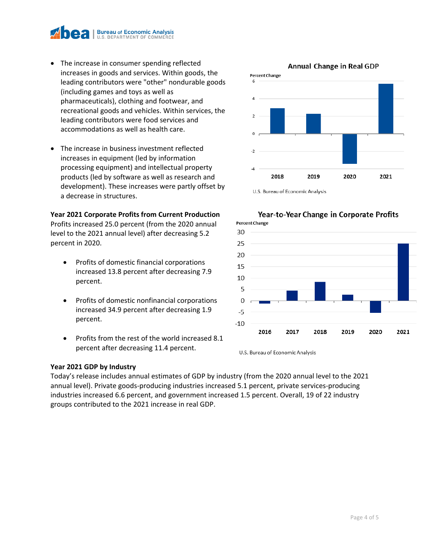

- The increase in consumer spending reflected increases in goods and services. Within goods, the leading contributors were "other" nondurable goods (including games and toys as well as pharmaceuticals), clothing and footwear, and recreational goods and vehicles. Within services, the leading contributors were food services and accommodations as well as health care.
- The increase in business investment reflected increases in equipment (led by information processing equipment) and intellectual property products (led by software as well as research and development). These increases were partly offset by a decrease in structures.

## **Year 2021 Corporate Profits from Current Production**

Profits increased 25.0 percent (from the 2020 annual level to the 2021 annual level) after decreasing 5.2 percent in 2020.

- Profits of domestic financial corporations increased 13.8 percent after decreasing 7.9 percent.
- Profits of domestic nonfinancial corporations increased 34.9 percent after decreasing 1.9 percent.
- Profits from the rest of the world increased 8.1 percent after decreasing 11.4 percent.

## **Year 2021 GDP by Industry**

Today's release includes annual estimates of GDP by industry (from the 2020 annual level to the 2021 annual level). Private goods-producing industries increased 5.1 percent, private services-producing industries increased 6.6 percent, and government increased 1.5 percent. Overall, 19 of 22 industry groups contributed to the 2021 increase in real GDP.



U.S. Bureau of Economic Analysis



Year-to-Year Change in Corporate Profits

U.S. Bureau of Economic Analysis